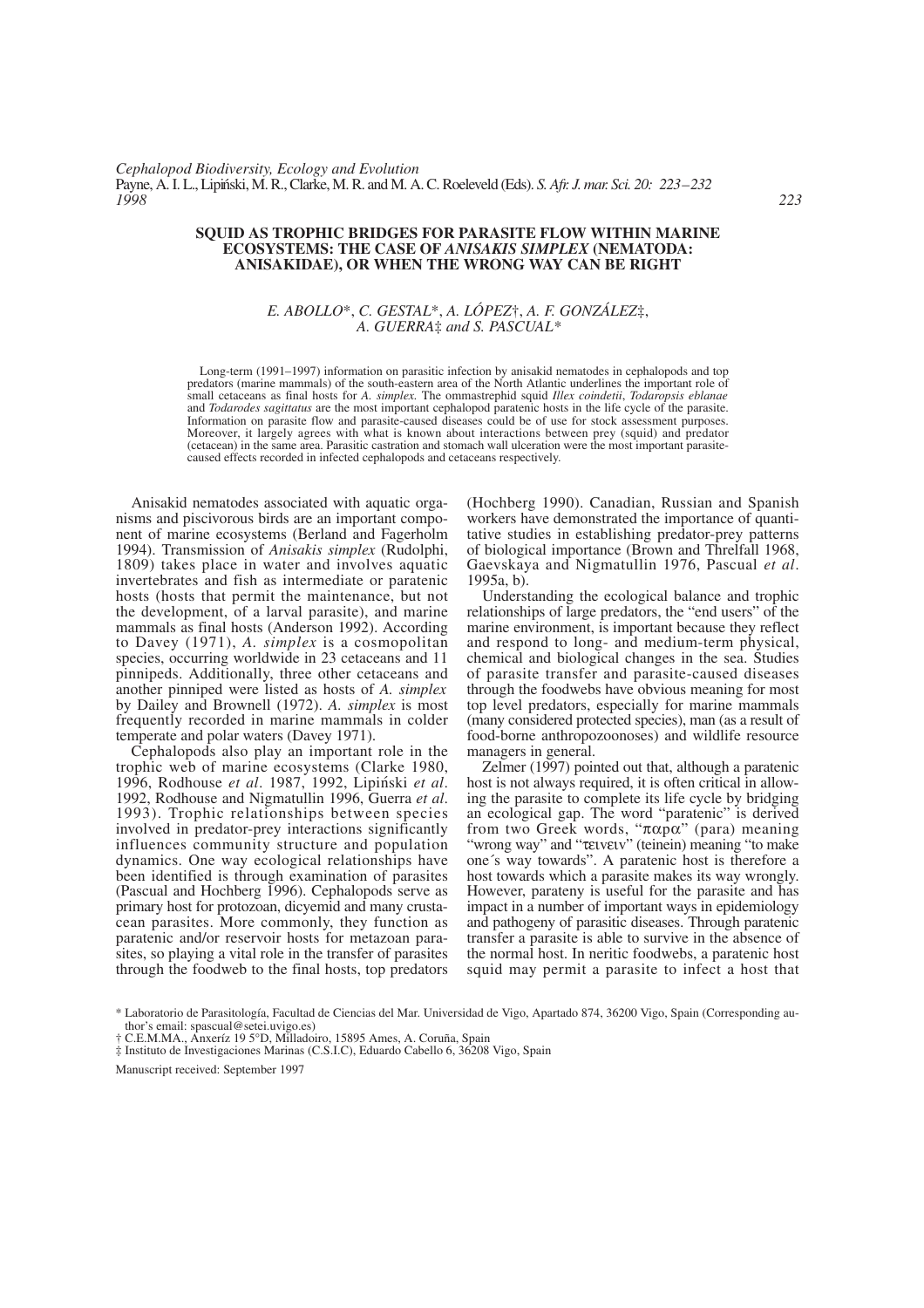## **SQUID AS TROPHIC BRIDGES FOR PARASITE FLOW WITHIN MARINE ECOSYSTEMS: THE CASE OF** *ANISAKIS SIMPLEX* **(NEMATODA: ANISAKIDAE), OR WHEN THE WRONG WAY CAN BE RIGHT**

# *E. ABOLLO*\*, *C. GESTAL*\*, *A. LÓPEZ*†, *A. F. GONZÁLEZ*‡, *A. GUERRA*‡ *and S. PASCUAL\**

Long-term (1991–1997) information on parasitic infection by anisakid nematodes in cephalopods and top predators (marine mammals) of the south-eastern area of the North Atlantic underlines the important role of small cetaceans as final hosts for *A. simplex.* The ommastrephid squid *Illex coindetii*, *Todaropsis eblanae* and *Todarodes sagittatus* are the most important cephalopod paratenic hosts in the life cycle of the parasite. Information on parasite flow and parasite-caused diseases could be of use for stock assessment purposes. Moreover, it largely agrees with what is known about interactions between prey (squid) and predator (cetacean) in the same area. Parasitic castration and stomach wall ulceration were the most important parasitecaused effects recorded in infected cephalopods and cetaceans respectively.

Anisakid nematodes associated with aquatic organisms and piscivorous birds are an important component of marine ecosystems (Berland and Fagerholm 1994). Transmission of *Anisakis simplex* (Rudolphi, 1809) takes place in water and involves aquatic invertebrates and fish as intermediate or paratenic hosts (hosts that permit the maintenance, but not the development, of a larval parasite), and marine mammals as final hosts (Anderson 1992). According to Davey (1971), *A. simplex* is a cosmopolitan species, occurring worldwide in 23 cetaceans and 11 pinnipeds. Additionally, three other cetaceans and another pinniped were listed as hosts of *A. simplex* by Dailey and Brownell (1972). *A. simplex* is most frequently recorded in marine mammals in colder temperate and polar waters (Davey 1971).

Cephalopods also play an important role in the trophic web of marine ecosystems (Clarke 1980, 1996, Rodhouse *et al*. 1987, 1992, Lipin´ski *et al*. 1992, Rodhouse and Nigmatullin 1996, Guerra *et al*. 1993). Trophic relationships between species involved in predator-prey interactions significantly influences community structure and population dynamics. One way ecological relationships have been identified is through examination of parasites (Pascual and Hochberg 1996). Cephalopods serve as primary host for protozoan, dicyemid and many crustacean parasites. More commonly, they function as paratenic and/or reservoir hosts for metazoan parasites, so playing a vital role in the transfer of parasites through the foodweb to the final hosts, top predators (Hochberg 1990). Canadian, Russian and Spanish workers have demonstrated the importance of quantitative studies in establishing predator-prey patterns of biological importance (Brown and Threlfall 1968, Gaevskaya and Nigmatullin 1976, Pascual *et al*. 1995a, b).

Understanding the ecological balance and trophic relationships of large predators, the "end users" of the marine environment, is important because they reflect and respond to long- and medium-term physical, chemical and biological changes in the sea. Studies of parasite transfer and parasite-caused diseases through the foodwebs have obvious meaning for most top level predators, especially for marine mammals (many considered protected species), man (as a result of food-borne anthropozoonoses) and wildlife resource managers in general.

Zelmer (1997) pointed out that, although a paratenic host is not always required, it is often critical in allowing the parasite to complete its life cycle by bridging an ecological gap. The word "paratenic" is derived from two Greek words, "παpα" (para) meaning "wrong way" and "τειvειv" (teinein) meaning "to make one´s way towards". A paratenic host is therefore a host towards which a parasite makes its way wrongly. However, parateny is useful for the parasite and has impact in a number of important ways in epidemiology and pathogeny of parasitic diseases. Through paratenic transfer a parasite is able to survive in the absence of the normal host. In neritic foodwebs, a paratenic host squid may permit a parasite to infect a host that

<sup>\*</sup> Laboratorio de Parasitología, Facultad de Ciencias del Mar. Universidad de Vigo, Apartado 874, 36200 Vigo, Spain (Corresponding author's email: spascual@setei.uvigo.es)

<sup>†</sup> C.E.M.MA., Anxeríz 19 5°D, Milladoiro, 15895 Ames, A. Coruña, Spain

<sup>‡</sup> Instituto de Investigaciones Marinas (C.S.I.C), Eduardo Cabello 6, 36208 Vigo, Spain

Manuscript received: September 1997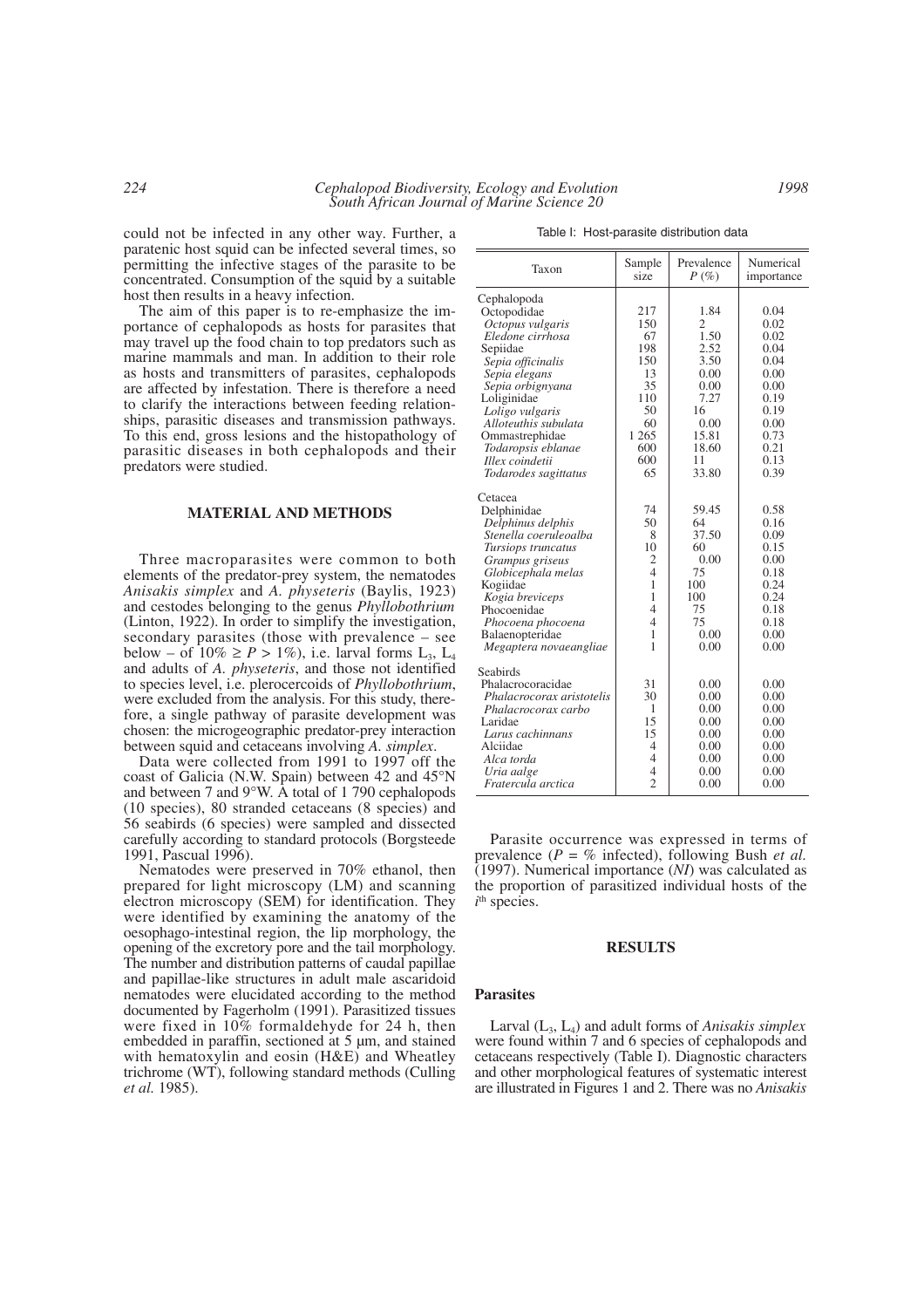could not be infected in any other way. Further, a paratenic host squid can be infected several times, so permitting the infective stages of the parasite to be concentrated. Consumption of the squid by a suitable host then results in a heavy infection.

The aim of this paper is to re-emphasize the importance of cephalopods as hosts for parasites that may travel up the food chain to top predators such as marine mammals and man. In addition to their role as hosts and transmitters of parasites, cephalopods are affected by infestation. There is therefore a need to clarify the interactions between feeding relationships, parasitic diseases and transmission pathways. To this end, gross lesions and the histopathology of parasitic diseases in both cephalopods and their predators were studied.

# **MATERIAL AND METHODS**

Three macroparasites were common to both elements of the predator-prey system, the nematodes *Anisakis simplex* and *A. physeteris* (Baylis, 1923) and cestodes belonging to the genus *Phyllobothrium* (Linton, 1922). In order to simplify the investigation, secondary parasites (those with prevalence – see below – of  $10\% \ge P > 1\%$ ), i.e. larval forms L<sub>3</sub>, L<sub>4</sub> and adults of *A. physeteris*, and those not identified to species level, i.e. plerocercoids of *Phyllobothrium*, were excluded from the analysis. For this study, therefore, a single pathway of parasite development was chosen: the microgeographic predator-prey interaction between squid and cetaceans involving *A. simplex*.

Data were collected from 1991 to 1997 off the coast of Galicia (N.W. Spain) between 42 and 45°N and between 7 and 9°W. A total of 1 790 cephalopods (10 species), 80 stranded cetaceans (8 species) and 56 seabirds (6 species) were sampled and dissected carefully according to standard protocols (Borgsteede 1991, Pascual 1996).

Nematodes were preserved in 70% ethanol, then prepared for light microscopy (LM) and scanning electron microscopy (SEM) for identification. They were identified by examining the anatomy of the oesophago-intestinal region, the lip morphology, the opening of the excretory pore and the tail morphology. The number and distribution patterns of caudal papillae and papillae-like structures in adult male ascaridoid nematodes were elucidated according to the method documented by Fagerholm (1991). Parasitized tissues were fixed in 10% formaldehyde for 24 h, then embedded in paraffin, sectioned at 5  $\mu$ m, and stained with hematoxylin and eosin (H&E) and Wheatley trichrome (WT), following standard methods (Culling *et al.* 1985).

Table I: Host-parasite distribution data

| Taxon                                                                                                                                                                                                                                                                                 | Sample<br>size                                                                               | Prevalence<br>$P(\%)$                                                                                    | Numerical<br>importance                                                                                      |
|---------------------------------------------------------------------------------------------------------------------------------------------------------------------------------------------------------------------------------------------------------------------------------------|----------------------------------------------------------------------------------------------|----------------------------------------------------------------------------------------------------------|--------------------------------------------------------------------------------------------------------------|
| Cephalopoda<br>Octopodidae<br>Octopus vulgaris<br>Eledone cirrhosa<br>Sepiidae<br>Sepia officinalis<br>Sepia elegans<br>Sepia orbignyana<br>Loliginidae<br>Loligo vulgaris<br>Alloteuthis subulata<br>Ommastrephidae<br>Todaropsis eblanae<br>Illex coindetii<br>Todarodes sagittatus | 217<br>150<br>67<br>198<br>150<br>13<br>35<br>110<br>50<br>60<br>1 2 6 5<br>600<br>600<br>65 | 1.84<br>2<br>1.50<br>2.52<br>3.50<br>0.00<br>0.00<br>7.27<br>16<br>0.00<br>15.81<br>18.60<br>11<br>33.80 | 0.04<br>0.02<br>0.02<br>0.04<br>0.04<br>0.00<br>0.00<br>0.19<br>0.19<br>0.00<br>0.73<br>0.21<br>0.13<br>0.39 |
| Cetacea<br>Delphinidae<br>Delphinus delphis<br>Stenella coeruleoalba<br>Tursiops truncatus<br>Grampus griseus<br>Globicephala melas<br>Kogiidae<br>Kogia breviceps<br>Phocoenidae<br>Phocoena phocoena<br><b>Balaenopteridae</b><br>Megaptera novaeangliae                            | 74<br>50<br>8<br>10<br>2<br>$\overline{4}$<br>1<br>1<br>$\overline{4}$<br>4<br>1<br>1        | 59.45<br>64<br>37.50<br>60<br>0.00<br>75<br>100<br>100<br>75<br>75<br>0.00<br>0.00                       | 0.58<br>0.16<br>0.09<br>0.15<br>0.00<br>0.18<br>0.24<br>0.24<br>0.18<br>0.18<br>0.00<br>0.00                 |
| Seabirds<br>Phalacrocoracidae<br>Phalacrocorax aristotelis<br>Phalacrocorax carbo<br>Laridae<br>Larus cachinnans<br>Alciidae<br>Alca torda<br>Uria aalge<br>Fratercula arctica                                                                                                        | 31<br>30<br>1<br>15<br>15<br>4<br>4<br>$\overline{4}$<br>$\overline{c}$                      | 0.00<br>0.00<br>0.00<br>0.00<br>0.00<br>0.00<br>0.00<br>0.00<br>0.00                                     | 0.00<br>0.00<br>0.00<br>0.00<br>0.00<br>0.00<br>0.00<br>0.00<br>0.00                                         |

Parasite occurrence was expressed in terms of prevalence (*P* = % infected), following Bush *et al.* (1997). Numerical importance (*NI*) was calculated as the proportion of parasitized individual hosts of the  $i$ <sup>th</sup> species.

#### **RESULTS**

# **Parasites**

Larval (L3, L4) and adult forms of *Anisakis simplex* were found within 7 and 6 species of cephalopods and cetaceans respectively (Table I). Diagnostic characters and other morphological features of systematic interest are illustrated in Figures 1 and 2. There was no *Anisakis*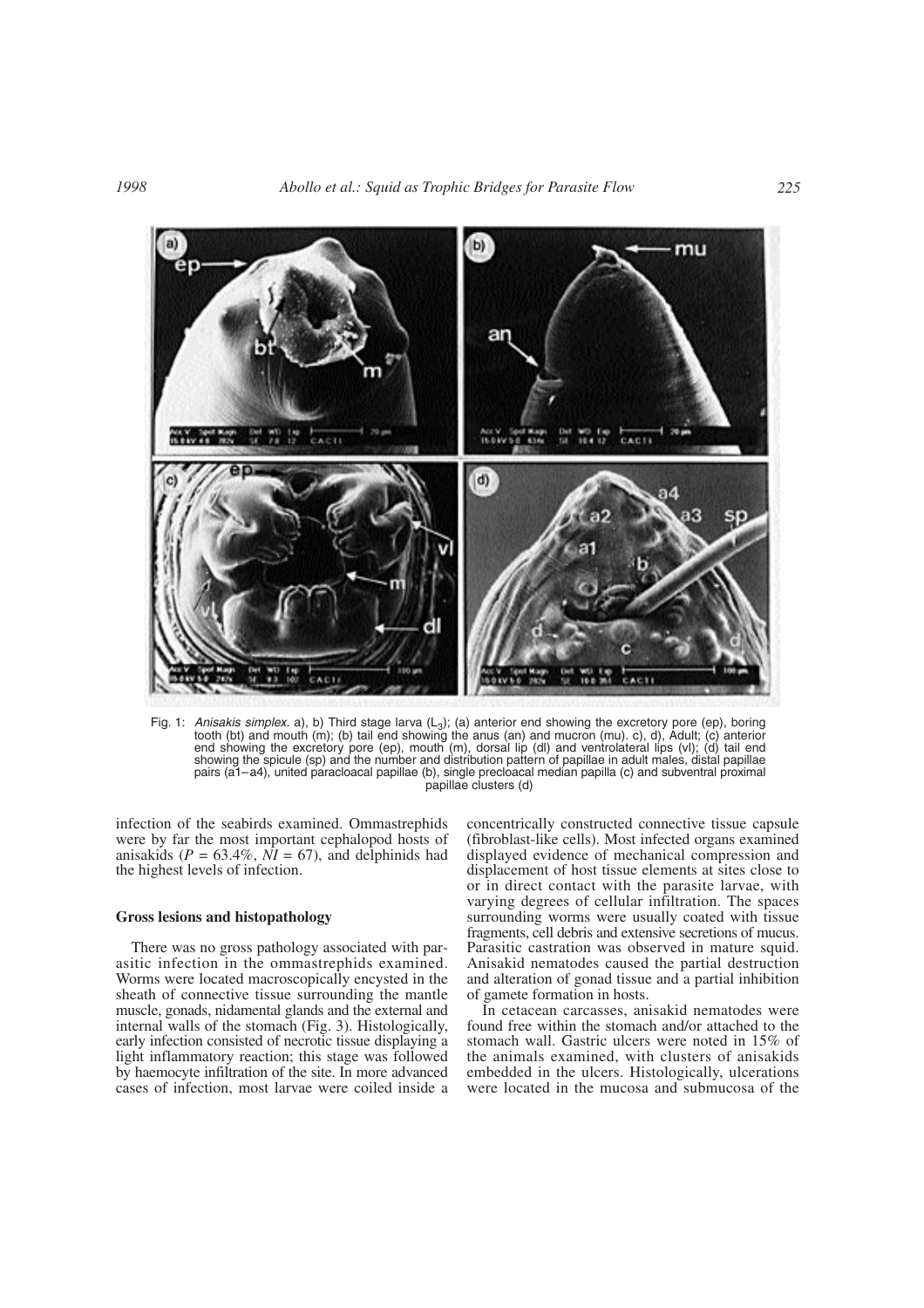

Fig. 1: *Anisakis simplex*. a), b) Third stage larva (L<sub>3</sub>); (a) anterior end showing the excretory pore (ep), boring tooth (bt) and mouth (m); (b) tail end showing the anus (an) and mucron (mu). c), d), Adult; (c) anterior end showing the excretory pore (ep), mouth (m), dorsal lip (dl) and ventrolateral lips (vl); (d) tail end showing the spicule (sp) and the number and distribution pattern of papillae in adult males, distal papillae pairs (a1–a4), united paracloacal papillae (b), single precloacal median papilla (c) and subventral proximal papillae clusters (d)

infection of the seabirds examined. Ommastrephids were by far the most important cephalopod hosts of anisakids ( $P = 63.4\%$ ,  $\overline{NI} = 67$ ), and delphinids had the highest levels of infection.

# **Gross lesions and histopathology**

There was no gross pathology associated with parasitic infection in the ommastrephids examined. Worms were located macroscopically encysted in the sheath of connective tissue surrounding the mantle muscle, gonads, nidamental glands and the external and internal walls of the stomach (Fig. 3). Histologically, early infection consisted of necrotic tissue displaying a light inflammatory reaction; this stage was followed by haemocyte infiltration of the site. In more advanced cases of infection, most larvae were coiled inside a concentrically constructed connective tissue capsule (fibroblast-like cells). Most infected organs examined displayed evidence of mechanical compression and displacement of host tissue elements at sites close to or in direct contact with the parasite larvae, with varying degrees of cellular infiltration. The spaces surrounding worms were usually coated with tissue fragments, cell debris and extensive secretions of mucus. Parasitic castration was observed in mature squid. Anisakid nematodes caused the partial destruction and alteration of gonad tissue and a partial inhibition of gamete formation in hosts.

In cetacean carcasses, anisakid nematodes were found free within the stomach and/or attached to the stomach wall. Gastric ulcers were noted in 15% of the animals examined, with clusters of anisakids embedded in the ulcers. Histologically, ulcerations were located in the mucosa and submucosa of the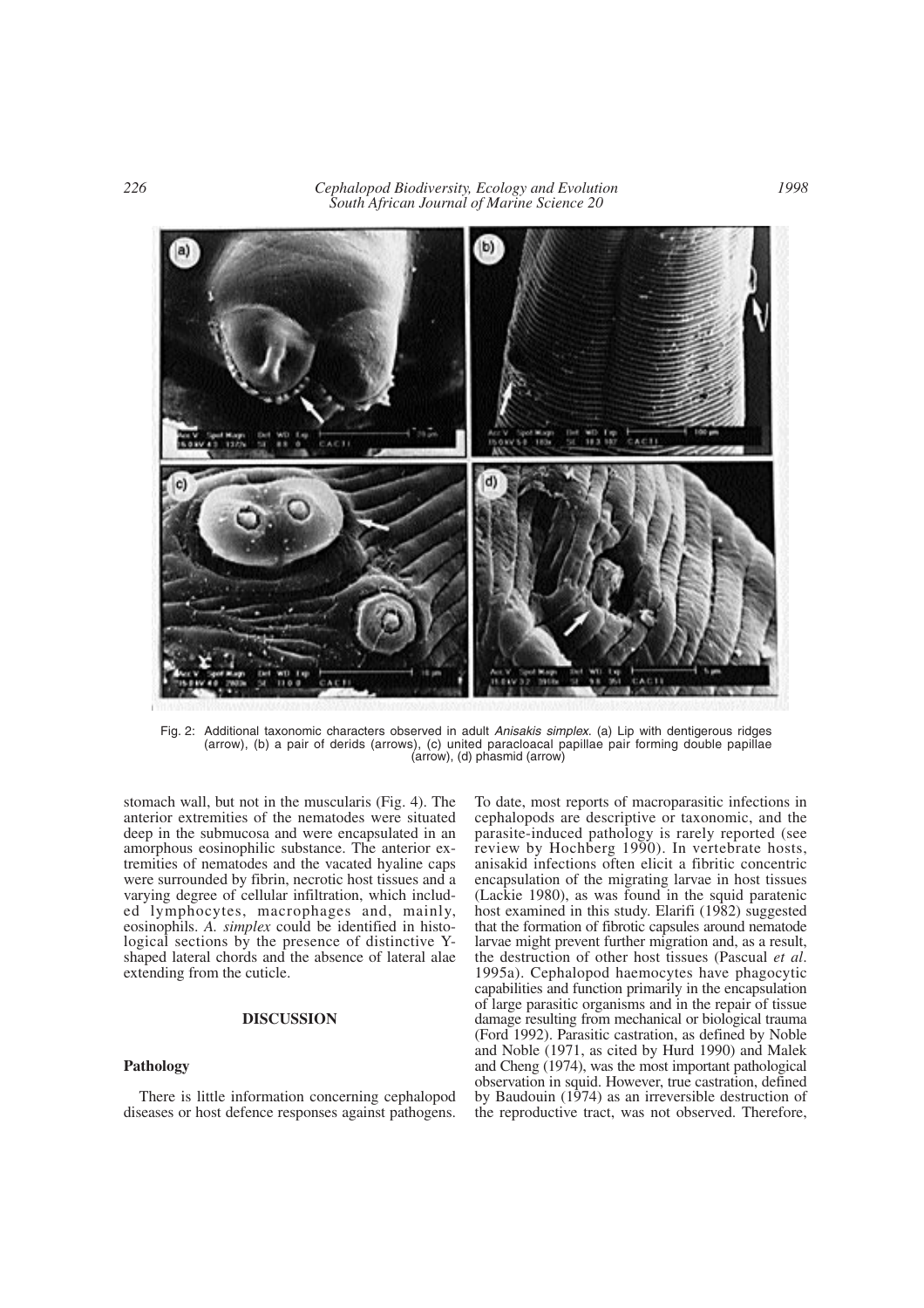*226 Cephalopod Biodiversity, Ecology and Evolution South African Journal of Marine Science 20*



Fig. 2: Additional taxonomic characters observed in adult *Anisakis simplex*. (a) Lip with dentigerous ridges (arrow), (b) a pair of derids (arrows), (c) united paracloacal papillae pair forming double papillae (arrow), (d) phasmid (arrow)

stomach wall, but not in the muscularis (Fig. 4). The anterior extremities of the nematodes were situated deep in the submucosa and were encapsulated in an amorphous eosinophilic substance. The anterior extremities of nematodes and the vacated hyaline caps were surrounded by fibrin, necrotic host tissues and a varying degree of cellular infiltration, which included lymphocytes, macrophages and, mainly, eosinophils. *A. simplex* could be identified in histological sections by the presence of distinctive Yshaped lateral chords and the absence of lateral alae extending from the cuticle.

### **DISCUSSION**

# **Pathology**

There is little information concerning cephalopod diseases or host defence responses against pathogens. To date, most reports of macroparasitic infections in cephalopods are descriptive or taxonomic, and the parasite-induced pathology is rarely reported (see review by Hochberg 1990). In vertebrate hosts, anisakid infections often elicit a fibritic concentric encapsulation of the migrating larvae in host tissues (Lackie 1980), as was found in the squid paratenic host examined in this study. Elarifi (1982) suggested that the formation of fibrotic capsules around nematode larvae might prevent further migration and, as a result, the destruction of other host tissues (Pascual *et al*. 1995a). Cephalopod haemocytes have phagocytic capabilities and function primarily in the encapsulation of large parasitic organisms and in the repair of tissue damage resulting from mechanical or biological trauma (Ford 1992). Parasitic castration, as defined by Noble and Noble (1971, as cited by Hurd 1990) and Malek and Cheng (1974), was the most important pathological observation in squid. However, true castration, defined by Baudouin (1974) as an irreversible destruction of the reproductive tract, was not observed. Therefore,

*1998*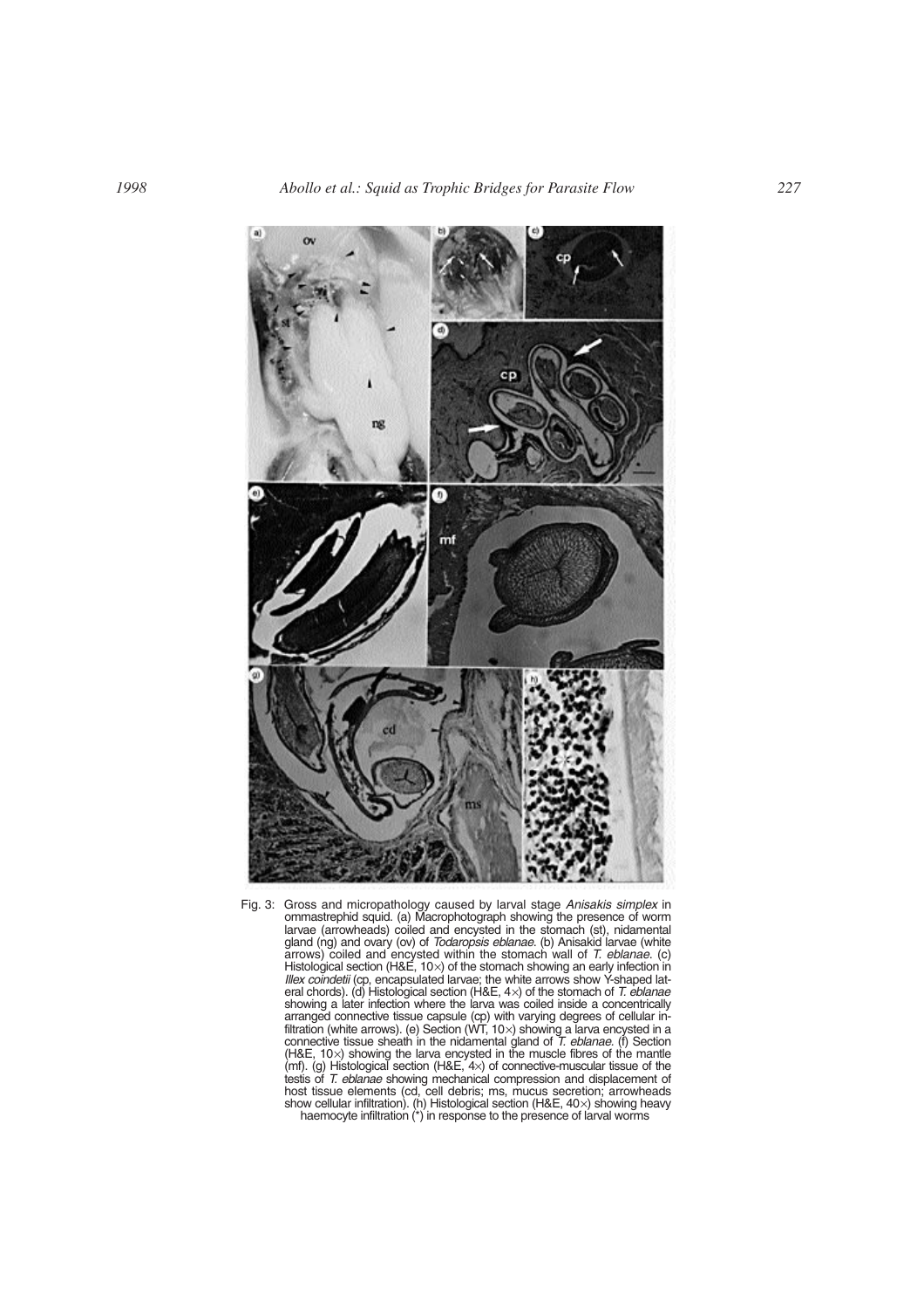

Fig. 3: Gross and micropathology caused by larval stage *Anisakis simplex* in ommastrephid squid. (a) Macrophotograph showing the presence of worm larvae (arrowheads) coiled and encysted in the stomach (st), nidamental gland (ng) and ovary (ov) of *Todaropsis eblanae*. (b) Anisakid larvae (white arrows) coiled and encysted within the stomach wall of *T. eblanae*. (c) Histological section (H&E, 10 $\times$ ) of the stomach showing an early infection in *Illex coindetii* (cp, encapsulated larvae; the white arrows show Y-shaped lateral chords). (d) Histological section (H&E, 4×) of the stomach of *T. eblanae* showing a later infection where the larva was coiled inside a concentrically arranged connective tissue capsule (cp) with varying degrees of cellular infiltration (white arrows). (e) Section (WT, 10×) showing a larva encysted in a connective tissue sheath in the nidamental gland of *T. eblanae.* (f) Section (H&E, 10×) showing the larva encysted in the muscle fibres of the mantle (mf). (g) Histological section (H&E, 4×) of connective-muscular tissue of the testis of *T. eblanae* showing mechanical compression and displacement of host tissue elements (cd, cell debris; ms, mucus secretion; arrowheads show cellular infiltration). (h) Histological section (H&E, 40×) showing heavy haemocyte infiltration  $(*)$  in response to the presence of larval worms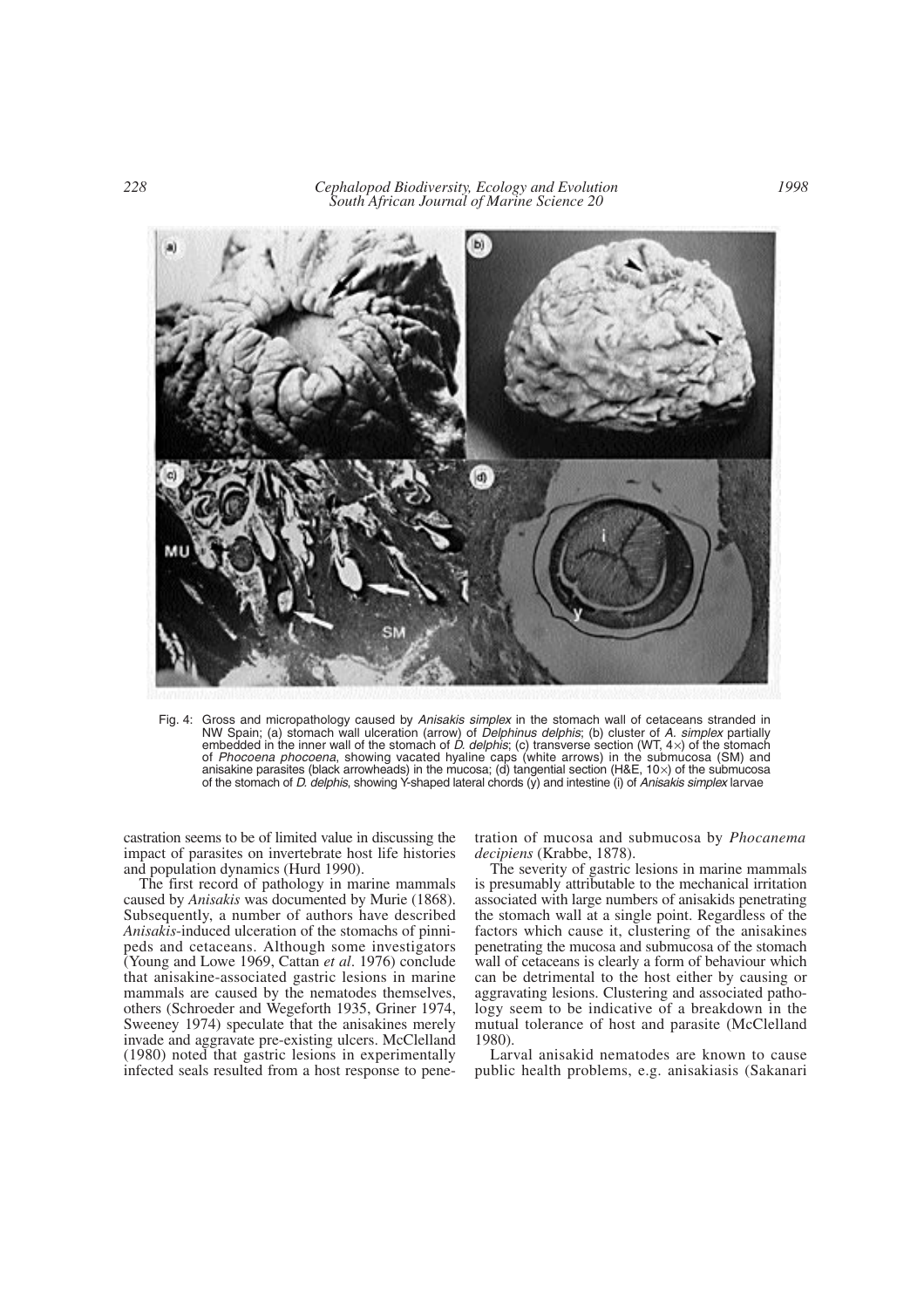*228 Cephalopod Biodiversity, Ecology and Evolution South African Journal of Marine Science 20*



Fig. 4: Gross and micropathology caused by *Anisakis simplex* in the stomach wall of cetaceans stranded in NW Spain; (a) stomach wall ulceration (arrow) of *Delphinus delphis*; (b) cluster of *A. simplex* partially embedded in the inner wall of the stomach of *D. delphis*; (c) transverse section (WT, 4×) of the stomach of *Phocoena phocoena*, showing vacated hyaline caps (white arrows) in the submucosa (SM) and anisakine parasites (black arrowheads) in the mucosa; (d) tangential section (H&E, 10×) of the submucosa of the stomach of *D. delphis*, showing Y-shaped lateral chords (y) and intestine (i) of *Anisakis simplex* larvae

castration seems to be of limited value in discussing the impact of parasites on invertebrate host life histories and population dynamics (Hurd 1990).

The first record of pathology in marine mammals caused by *Anisakis* was documented by Murie (1868). Subsequently, a number of authors have described *Anisakis*-induced ulceration of the stomachs of pinnipeds and cetaceans. Although some investigators (Young and Lowe 1969, Cattan *et al*. 1976) conclude that anisakine-associated gastric lesions in marine mammals are caused by the nematodes themselves, others (Schroeder and Wegeforth 1935, Griner 1974, Sweeney 1974) speculate that the anisakines merely invade and aggravate pre-existing ulcers. McClelland (1980) noted that gastric lesions in experimentally infected seals resulted from a host response to penetration of mucosa and submucosa by *Phocanema decipiens* (Krabbe, 1878).

The severity of gastric lesions in marine mammals is presumably attributable to the mechanical irritation associated with large numbers of anisakids penetrating the stomach wall at a single point. Regardless of the factors which cause it, clustering of the anisakines penetrating the mucosa and submucosa of the stomach wall of cetaceans is clearly a form of behaviour which can be detrimental to the host either by causing or aggravating lesions. Clustering and associated pathology seem to be indicative of a breakdown in the mutual tolerance of host and parasite (McClelland 1980).

Larval anisakid nematodes are known to cause public health problems, e.g. anisakiasis (Sakanari

*1998*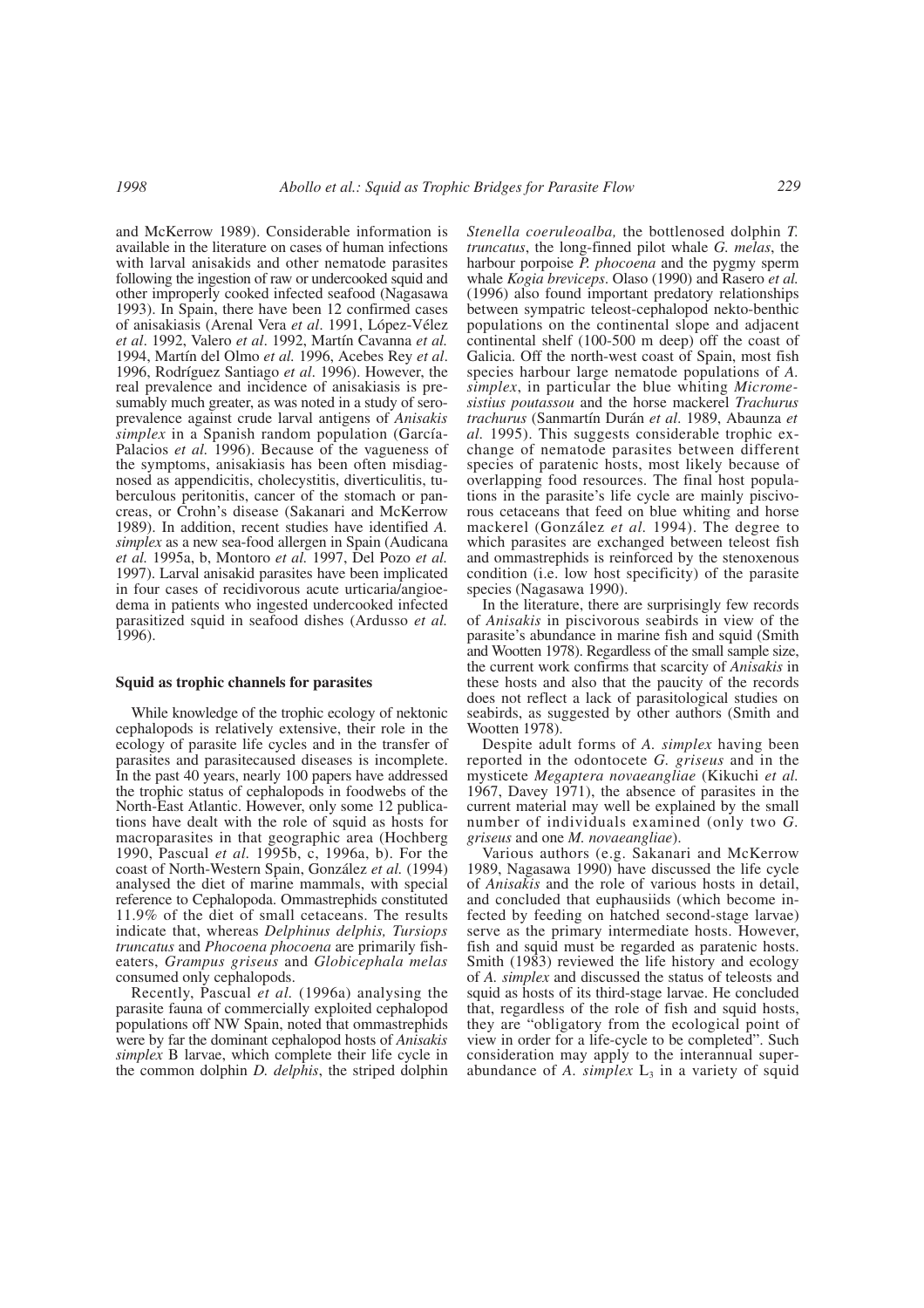and McKerrow 1989). Considerable information is available in the literature on cases of human infections with larval anisakids and other nematode parasites following the ingestion of raw or undercooked squid and other improperly cooked infected seafood (Nagasawa 1993). In Spain, there have been 12 confirmed cases of anisakiasis (Arenal Vera *et al*. 1991, López-Vélez *et al*. 1992, Valero *et al*. 1992, Martín Cavanna *et al.* 1994, Martín del Olmo *et al.* 1996, Acebes Rey *et al*. 1996, Rodríguez Santiago *et al*. 1996). However, the real prevalence and incidence of anisakiasis is presumably much greater, as was noted in a study of seroprevalence against crude larval antigens of *Anisakis simplex* in a Spanish random population (García-Palacios *et al.* 1996). Because of the vagueness of the symptoms, anisakiasis has been often misdiagnosed as appendicitis, cholecystitis, diverticulitis, tuberculous peritonitis, cancer of the stomach or pancreas, or Crohn's disease (Sakanari and McKerrow 1989). In addition, recent studies have identified *A. simplex* as a new sea-food allergen in Spain (Audicana *et al.* 1995a, b, Montoro *et al.* 1997, Del Pozo *et al.* 1997). Larval anisakid parasites have been implicated in four cases of recidivorous acute urticaria/angioedema in patients who ingested undercooked infected parasitized squid in seafood dishes (Ardusso *et al.* 1996).

### **Squid as trophic channels for parasites**

While knowledge of the trophic ecology of nektonic cephalopods is relatively extensive, their role in the ecology of parasite life cycles and in the transfer of parasites and parasitecaused diseases is incomplete. In the past 40 years, nearly 100 papers have addressed the trophic status of cephalopods in foodwebs of the North-East Atlantic. However, only some 12 publications have dealt with the role of squid as hosts for macroparasites in that geographic area (Hochberg 1990, Pascual *et al.* 1995b, c, 1996a, b). For the coast of North-Western Spain, González *et al.* (1994) analysed the diet of marine mammals, with special reference to Cephalopoda. Ommastrephids constituted 11.9% of the diet of small cetaceans. The results indicate that, whereas *Delphinus delphis, Tursiops truncatus* and *Phocoena phocoena* are primarily fisheaters, *Grampus griseus* and *Globicephala melas* consumed only cephalopods.

Recently, Pascual *et al.* (1996a) analysing the parasite fauna of commercially exploited cephalopod populations off NW Spain, noted that ommastrephids were by far the dominant cephalopod hosts of *Anisakis simplex* B larvae, which complete their life cycle in the common dolphin *D. delphis*, the striped dolphin *Stenella coeruleoalba,* the bottlenosed dolphin *T. truncatus*, the long-finned pilot whale *G. melas*, the harbour porpoise *P. phocoena* and the pygmy sperm whale *Kogia breviceps*. Olaso (1990) and Rasero *et al.* (1996) also found important predatory relationships between sympatric teleost-cephalopod nekto-benthic populations on the continental slope and adjacent continental shelf (100-500 m deep) off the coast of Galicia. Off the north-west coast of Spain, most fish species harbour large nematode populations of *A. simplex*, in particular the blue whiting *Micromesistius poutassou* and the horse mackerel *Trachurus trachurus* (Sanmartín Durán *et al*. 1989, Abaunza *et al.* 1995). This suggests considerable trophic exchange of nematode parasites between different species of paratenic hosts, most likely because of overlapping food resources. The final host populations in the parasite's life cycle are mainly piscivorous cetaceans that feed on blue whiting and horse mackerel (González *et al.* 1994). The degree to which parasites are exchanged between teleost fish and ommastrephids is reinforced by the stenoxenous condition (i.e. low host specificity) of the parasite species (Nagasawa 1990).

In the literature, there are surprisingly few records of *Anisakis* in piscivorous seabirds in view of the parasite's abundance in marine fish and squid (Smith and Wootten 1978). Regardless of the small sample size, the current work confirms that scarcity of *Anisakis* in these hosts and also that the paucity of the records does not reflect a lack of parasitological studies on seabirds, as suggested by other authors (Smith and Wootten 1978).

Despite adult forms of *A. simplex* having been reported in the odontocete *G. griseus* and in the mysticete *Megaptera novaeangliae* (Kikuchi *et al.* 1967, Davey 1971), the absence of parasites in the current material may well be explained by the small number of individuals examined (only two *G. griseus* and one *M. novaeangliae*).

Various authors (e.g. Sakanari and McKerrow 1989, Nagasawa 1990) have discussed the life cycle of *Anisakis* and the role of various hosts in detail, and concluded that euphausiids (which become infected by feeding on hatched second-stage larvae) serve as the primary intermediate hosts. However, fish and squid must be regarded as paratenic hosts. Smith (1983) reviewed the life history and ecology of *A. simplex* and discussed the status of teleosts and squid as hosts of its third-stage larvae. He concluded that, regardless of the role of fish and squid hosts, they are "obligatory from the ecological point of view in order for a life-cycle to be completed". Such consideration may apply to the interannual superabundance of A. simplex  $L<sub>3</sub>$  in a variety of squid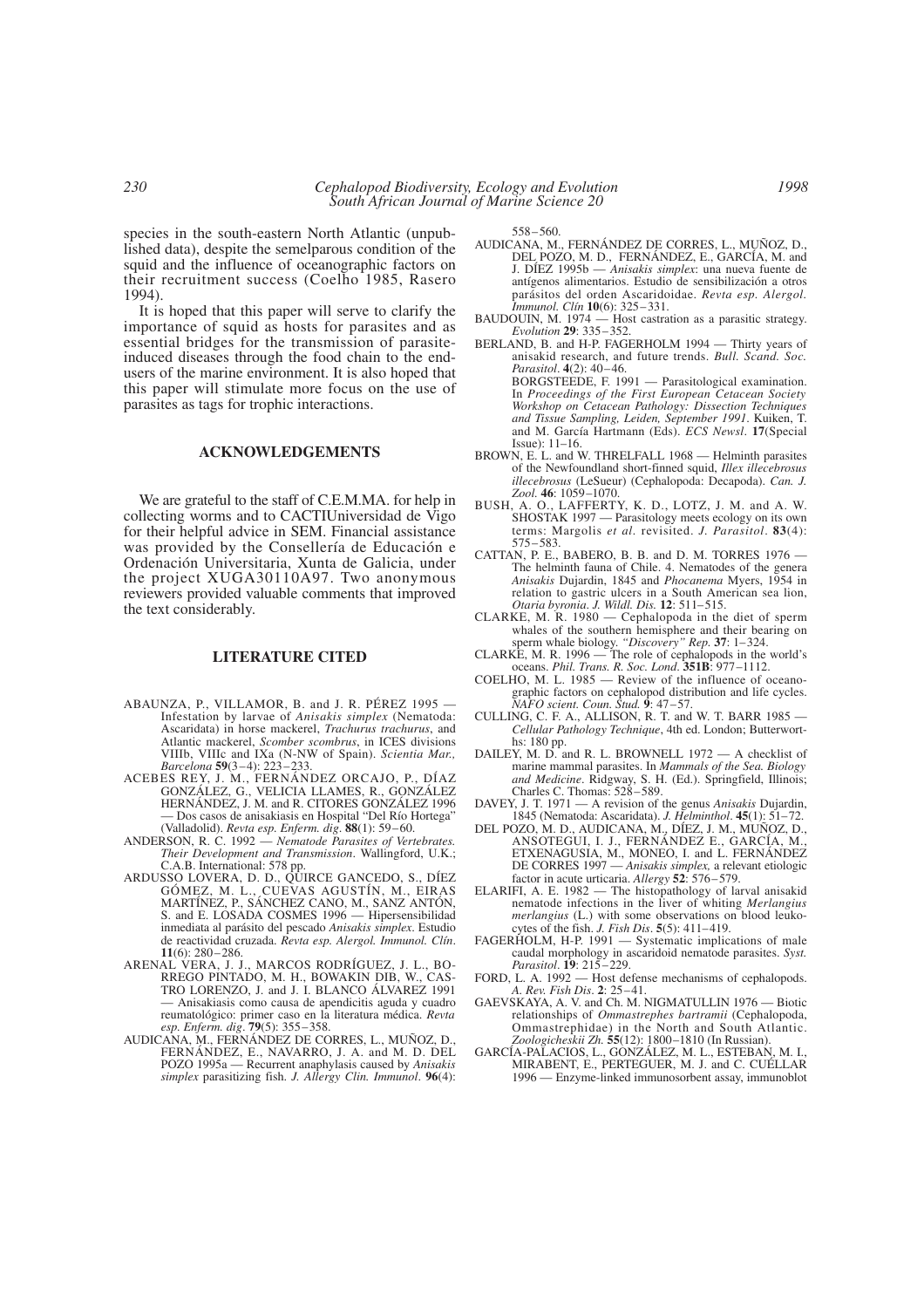species in the south-eastern North Atlantic (unpublished data), despite the semelparous condition of the squid and the influence of oceanographic factors on their recruitment success (Coelho 1985, Rasero 1994).

It is hoped that this paper will serve to clarify the importance of squid as hosts for parasites and as essential bridges for the transmission of parasiteinduced diseases through the food chain to the endusers of the marine environment. It is also hoped that this paper will stimulate more focus on the use of parasites as tags for trophic interactions.

#### **ACKNOWLEDGEMENTS**

We are grateful to the staff of C.E.M.MA. for help in collecting worms and to CACTIUniversidad de Vigo for their helpful advice in SEM. Financial assistance was provided by the Consellería de Educación e Ordenación Universitaria, Xunta de Galicia, under the project XUGA30110A97. Two anonymous reviewers provided valuable comments that improved the text considerably.

# **LITERATURE CITED**

- ABAUNZA, P., VILLAMOR, B. and J. R. PÉREZ 1995 Infestation by larvae of *Anisakis simplex* (Nematoda: Ascaridata) in horse mackerel, *Trachurus trachurus*, and Atlantic mackerel, *Scomber scombrus*, in ICES divisions VIIIb, VIIIc and IXa (N-NW of Spain). *Scientia Mar., Barcelona* **59**(3–4): 223–233.
- ACEBES REY, J. M., FERNÁNDEZ ORCAJO, P., DÍAZ GONZÁLEZ, G., VELICIA LLAMES, R., GONZÁLEZ HERNÁNDEZ, J. M. and R. CITORES GONZÁLEZ 1996 — Dos casos de anisakiasis en Hospital "Del Río Hortega" (Valladolid). *Revta esp. Enferm. dig*. **88**(1): 59–60.
- ANDERSON, R. C. 1992 *Nematode Parasites of Vertebrates. Their Development and Transmission*. Wallingford, U.K.; C.A.B. International: 578 pp.
- ARDUSSO LOVERA, D. D., QUIRCE GANCEDO, S., DÍEZ GÓMEZ, M. L., CUEVAS AGUSTÍN, M., EIRAS MARTÍNEZ, P., SÁNCHEZ CANO, M., SANZ ANTÓN, S. and E. LOSADA COSMES 1996 — Hipersensibilidad inmediata al parásito del pescado *Anisakis simplex*. Estudio de reactividad cruzada. *Revta esp. Alergol. Immunol. Clín*. **11**(6): 280–286.
- ARENAL VERA, J. J., MARCOS RODRÍGUEZ, J. L., BO-RREGO PINTADO, M. H., BOWAKIN DIB, W., CAS-TRO LORENZO, J. and J. I. BLANCO ÁLVAREZ 1991 — Anisakiasis como causa de apendicitis aguda y cuadro reumatológico: primer caso en la literatura médica. *Revta esp. Enferm. dig*. **79**(5): 355–358.
- AUDICANA, M., FERNÁNDEZ DE CORRES, L., MUÑOZ, D., FERNÁNDEZ, E., NAVARRO, J. A. and M. D. DEL POZO 1995a — Recurrent anaphylasis caused by *Anisakis simplex* parasitizing fish. *J. Allergy Clin. Immunol*. **96**(4):

558–560.

- AUDICANA, M., FERNÁNDEZ DE CORRES, L., MUÑOZ, D., DEL POZO, M. D., FERNÁNDEZ, E., GARCÍA, M. and J. DÍEZ 1995b — *Anisakis simplex*: una nueva fuente de antígenos alimentarios. Estudio de sensibilización a otros parásitos del orden Ascaridoidae. *Revta esp. Alergol. Immunol. Clín* **10**(6): 325–331.
- BAUDOUIN, M. 1974 Host castration as a parasitic strategy. *Evolution* **29**: 335–352.
- BERLAND, B. and H-P. FAGERHOLM 1994 Thirty years of anisakid research, and future trends. *Bull. Scand. Soc. Parasitol*. **4**(2): 40–46. BORGSTEEDE, F. 1991 — Parasitological examination. In *Proceedings of the First European Cetacean Society Workshop on Cetacean Pathology: Dissection Techniques and Tissue Sampling, Leiden, September 1991*. Kuiken, T. and M. García Hartmann (Eds). *ECS Newsl*. **17**(Special Issue): 11–16.
- BROWN, E. L. and W. THRELFALL 1968 Helminth parasites of the Newfoundland short-finned squid, *Illex illecebrosus illecebrosus* (LeSueur) (Cephalopoda: Decapoda). *Can. J. Zool.* **46**: 1059–1070.
- BUSH, A. O., LAFFERTY, K. D., LOTZ, J. M. and A. W. SHOSTAK 1997 — Parasitology meets ecology on its own terms: Margolis *et al.* revisited. *J. Parasitol*. **83**(4): 575–583.
- CATTAN, P. E., BABERO, B. B. and D. M. TORRES 1976 The helminth fauna of Chile. 4. Nematodes of the genera *Anisakis* Dujardin, 1845 and *Phocanema* Myers, 1954 in relation to gastric ulcers in a South American sea lion, *Otaria byronia*. *J. Wildl. Dis.* **12**: 511–515.
- CLARKE, M. R. 1980 Cephalopoda in the diet of sperm whales of the southern hemisphere and their bearing on sperm whale biology. *"Discovery" Rep.* **37**: 1–324.
- CLARKE, M. R. 1996 The role of cephalopods in the world's oceans. *Phil. Trans. R. Soc. Lond*. **351B**: 977–1112.
- COELHO, M. L. 1985 Review of the influence of oceanographic factors on cephalopod distribution and life cycles. *NAFO scient. Coun. Stud.* **9**: 47–57.
- CULLING, C. F. A., ALLISON, R. T. and W. T. BARR 1985 *Cellular Pathology Technique*, 4th ed. London; Butterworths: 180 pp.
- DAILEY, M. D. and R. L. BROWNELL  $1972 A$  checklist of marine mammal parasites. In *Mammals of the Sea. Biology and Medicine*. Ridgway, S. H. (Ed.). Springfield, Illinois; Charles C. Thomas: 528–589.
- DAVEY, J. T. 1971 A revision of the genus *Anisakis* Dujardin, 1845 (Nematoda: Ascaridata). *J. Helminthol*. **45**(1): 51–72.
- DEL POZO, M. D., AUDICANA, M., DÍEZ, J. M., MUÑOZ, D., ANSOTEGUI, I. J., FERNÁNDEZ E., GARCÍA, M., ETXENAGUSIA, M., MONEO, I. and L. FERNÁNDEZ DE CORRES 1997 — *Anisakis simplex,* a relevant etiologic factor in acute urticaria. *Allergy* **52**: 576–579.
- ELARIFI, A. E. 1982 The histopathology of larval anisakid nematode infections in the liver of whiting *Merlangius merlangius* (L.) with some observations on blood leukocytes of the fish. *J. Fish Dis*. **5**(5): 411–419.
- FAGERHOLM, H-P. 1991 Systematic implications of male caudal morphology in ascaridoid nematode parasites. *Syst. Parasitol*. **19**: 215–229.
- FORD, L. A. 1992 Host defense mechanisms of cephalopods. *A. Rev. Fish Dis*. **2**: 25–41.
- GAEVSKAYA, A. V. and Ch. M. NIGMATULLIN 1976 Biotic relationships of *Ommastrephes bartramii* (Cephalopoda, Ommastrephidae) in the North and South Atlantic. *Zoologicheskii Zh.* **55**(12): 1800–1810 (In Russian).
- GARCÍA-PALACIOS, L., GONZÁLEZ, M. L., ESTEBAN, M. I., MIRABENT, E., PERTEGUER, M. J. and C. CUÉLLAR 1996 — Enzyme-linked immunosorbent assay, immunoblot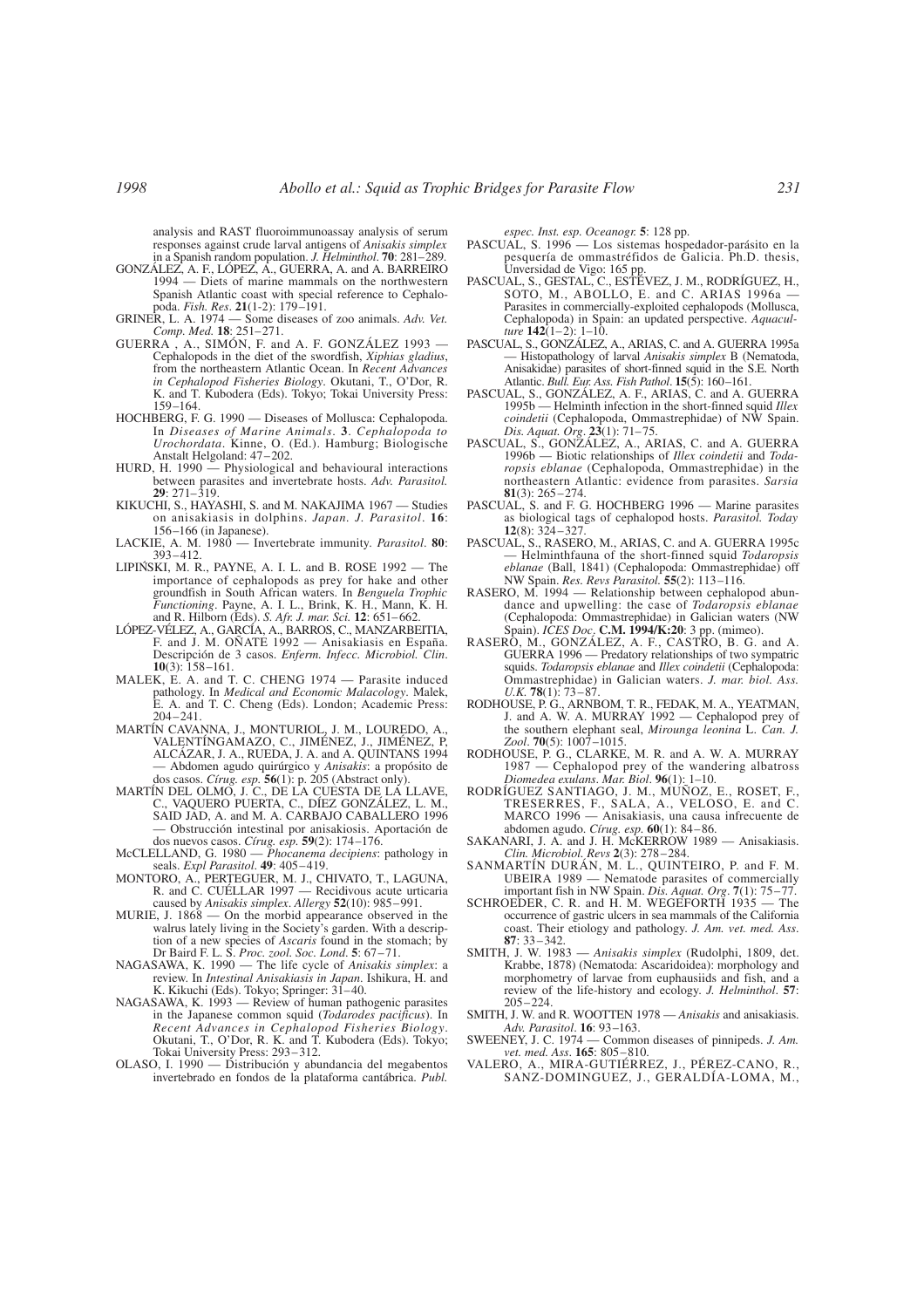analysis and RAST fluoroimmunoassay analysis of serum responses against crude larval antigens of *Anisakis simplex* in a Spanish random population. *J. Helminthol*. **70**: 281–289.

- GONZÁLEZ, A. F., LÓPEZ, A., GUERRA, A. and A. BARREIRO 1994 — Diets of marine mammals on the northwestern Spanish Atlantic coast with special reference to Cephalopoda. *Fish. Res*. **21**(1-2): 179–191.
- GRINER, L. A. 1974 Some diseases of zoo animals. *Adv. Vet. Comp. Med.* **18**: 251–271.
- GUERRA , A., SIMÓN, F. and A. F. GONZÁLEZ 1993 Cephalopods in the diet of the swordfish, *Xiphias gladius*, from the northeastern Atlantic Ocean. In *Recent Advances in Cephalopod Fisheries Biology*. Okutani, T., O'Dor, R. K. and T. Kubodera (Eds). Tokyo; Tokai University Press: 159–164.
- HOCHBERG, F. G. 1990 Diseases of Mollusca: Cephalopoda. In *Diseases of Marine Animals*. **3**. *Cephalopoda to Urochordata*. Kinne, O. (Ed.). Hamburg; Biologische Anstalt Helgoland: 47–202.
- HURD, H. 1990 Physiological and behavioural interactions between parasites and invertebrate hosts. *Adv. Parasitol.* **29**: 271–319.
- KIKUCHI, S., HAYASHI, S. and M. NAKAJIMA 1967 Studies on anisakiasis in dolphins. *Japan. J. Parasitol*. **16**: 156–166 (in Japanese).
- LACKIE, A. M. 1980 Invertebrate immunity. *Parasitol*. **80**: 393–412.
- LIPIN´SKI, M. R., PAYNE, A. I. L. and B. ROSE 1992 The importance of cephalopods as prey for hake and other groundfish in South African waters. In *Benguela Trophic Functioning*. Payne, A. I. L., Brink, K. H., Mann, K. H. and R. Hilborn (Eds). *S. Afr. J. mar. Sci.* **12**: 651–662.
- LÓPEZ-VÉLEZ, A., GARCÍA, A., BARROS, C., MANZARBEITIA, F. and J. M. OÑATE 1992 — Anisakiasis en España. Descripción de 3 casos. *Enferm. Infecc. Microbiol. Clin*. **10**(3): 158–161.
- MALEK, E. A. and T. C. CHENG 1974 Parasite induced pathology. In *Medical and Economic Malacology*. Malek, E. A. and T. C. Cheng (Eds). London; Academic Press: 204–241.
- MARTÍN CAVANNA, J., MONTURIOL, J. M., LOUREDO, A., VALENTÍNGAMAZO, C., JIMÉNEZ, J., JIMÉNEZ, P, ALCÁZAR, J. A., RUEDA, J. A. and A. QUINTANS 1994 — Abdomen agudo quirúrgico y *Anisakis*: a propósito de dos casos. *Círug. esp.* **56**(1): p. 205 (Abstract only).
- MARTÍN DEL OLMO, J. C., DE LA CUESTA DE LA LLAVE, C., VAQUERO PUERTA, C., DÍEZ GONZÁLEZ, L. M., SAID JAD, A. and M. A. CARBAJO CABALLERO 1996 — Obstrucción intestinal por anisakiosis. Aportación de dos nuevos casos. *Círug. esp.* **59**(2): 174–176.
- McCLELLAND, G. 1980 *Phocanema decipiens*: pathology in seals. *Expl Parasitol*. **49**: 405–419.
- MONTORO, A., PERTEGUER, M. J., CHIVATO, T., LAGUNA, R. and C. CUÉLLAR 1997 — Recidivous acute urticaria caused by *Anisakis simplex*. *Allergy* **52**(10): 985–991.
- MURIE, J. 1868 On the morbid appearance observed in the walrus lately living in the Society's garden. With a description of a new species of *Ascaris* found in the stomach; by Dr Baird F. L. S. *Proc. zool. Soc. Lond*. **5**: 67–71.
- NAGASAWA, K. 1990 The life cycle of *Anisakis simplex*: a review. In *Intestinal Anisakiasis in Japan*. Ishikura, H. and K. Kikuchi (Eds). Tokyo; Springer: 31–40.
- NAGASAWA, K. 1993 Review of human pathogenic parasites in the Japanese common squid (*Todarodes pacificus*). In *Recent Advances in Cephalopod Fisheries Biology*. Okutani, T., O'Dor, R. K. and T. Kubodera (Eds). Tokyo; Tokai University Press: 293–312.
- OLASO, I. 1990 Distribución y abundancia del megabentos invertebrado en fondos de la plataforma cantábrica. *Publ.*

*espec. Inst. esp. Oceanogr.* **5**: 128 pp.

- PASCUAL, S. 1996 Los sistemas hospedador-parásito en la pesquería de ommastréfidos de Galicia. Ph.D. thesis, Unversidad de Vigo: 165 pp.
- PASCUAL, S., GESTAL, C., ESTÉVEZ, J. M., RODRÍGUEZ, H., SOTO, M., ABOLLO, E. and C. ARIAS 1996a -Parasites in commercially-exploited cephalopods (Mollusca, Cephalopoda) in Spain: an updated perspective. *Aquaculture* **142**(1–2): 1–10.
- PASCUAL, S., GONZÁLEZ, A., ARIAS, C. and A. GUERRA 1995a — Histopathology of larval *Anisakis simplex* B (Nematoda, Anisakidae) parasites of short-finned squid in the S.E. North Atlantic. *Bull. Eur. Ass. Fish Pathol*. **15**(5): 160–161.
- PASCUAL, S., GONZÁLEZ, A. F., ARIAS, C. and A. GUERRA 1995b — Helminth infection in the short-finned squid *Illex coindetii* (Cephalopoda, Ommastrephidae) of NW Spain. *Dis. Aquat. Org*. **23**(1): 71–75.
- PASCUAL, S., GONZÁLEZ, A., ARIAS, C. and A. GUERRA 1996b — Biotic relationships of *Illex coindetii* and *Todaropsis eblanae* (Cephalopoda, Ommastrephidae) in the northeastern Atlantic: evidence from parasites. *Sarsia* **81**(3): 265–274.
- PASCUAL, S. and F. G. HOCHBERG 1996 Marine parasites as biological tags of cephalopod hosts. *Parasitol. Today* **12**(8): 324–327.
- PASCUAL, S., RASERO, M., ARIAS, C. and A. GUERRA 1995c Helminthfauna of the short-finned squid *Todaropsis eblanae* (Ball, 1841) (Cephalopoda: Ommastrephidae) off NW Spain. *Res. Revs Parasitol.* **55**(2): 113–116.
- RASERO, M. 1994 Relationship between cephalopod abundance and upwelling: the case of *Todaropsis eblanae* (Cephalopoda: Ommastrephidae) in Galician waters (NW Spain). *ICES Doc*. **C.M. 1994/K:20**: 3 pp. (mimeo).
- RASERO, M., GONZÁLEZ, A. F., CASTRO, B. G. and A. GUERRA 1996 — Predatory relationships of two sympatric squids. *Todaropsis eblanae* and *Illex coindetii* (Cephalopoda: Ommastrephidae) in Galician waters. *J. mar. biol. Ass. U.K.* **78**(1): 73–87.
- RODHOUSE, P. G., ARNBOM, T. R., FEDAK, M. A., YEATMAN, J. and A. W. A. MURRAY 1992 — Cephalopod prey of the southern elephant seal, *Mirounga leonina* L. *Can. J. Zool*. **70**(5): 1007–1015.
- RODHOUSE, P. G., CLARKE, M. R. and A. W. A. MURRAY 1987 — Cephalopod prey of the wandering albatross *Diomedea exulans*. *Mar. Biol*. **96**(1): 1–10.
- RODRÍGUEZ SANTIAGO, J. M., MUÑOZ, E., ROSET, F., TRESERRES, F., SALA, A., VELOSO, E. and C. MARCO 1996 — Anisakiasis, una causa infrecuente de abdomen agudo. *Círug. esp.* **60**(1): 84–86.
- SAKANARI, J. A. and J. H. McKERROW 1989 Anisakiasis. *Clin. Microbiol. Revs* **2**(3): 278–284.
- SANMARTÍN DURÁN, M. L., QUINTEIRO, P. and F. M. UBEIRA 1989 — Nematode parasites of commercially important fish in NW Spain. *Dis. Aquat. Org*. **7**(1): 75–77.
- SCHROEDER, C. R. and H. M. WEGEFORTH 1935 The occurrence of gastric ulcers in sea mammals of the California coast. Their etiology and pathology. *J. Am. vet. med. Ass*. **87**: 33–342.
- SMITH, J. W. 1983 *Anisakis simplex* (Rudolphi, 1809, det. Krabbe, 1878) (Nematoda: Ascaridoidea): morphology and morphometry of larvae from euphausiids and fish, and a review of the life-history and ecology. *J. Helminthol*. **57**: 205–224.
- SMITH, J. W. and R. WOOTTEN 1978 *Anisakis* and anisakiasis. *Adv. Parasitol*. **16**: 93–163.
- SWEENEY, J. C. 1974 Common diseases of pinnipeds. *J. Am. vet. med. Ass*. **165**: 805–810.
- VALERO, A., MIRA-GUTIÉRREZ, J., PÉREZ-CANO, R., SANZ-DOMINGUEZ, J., GERALDÍA-LOMA, M.,